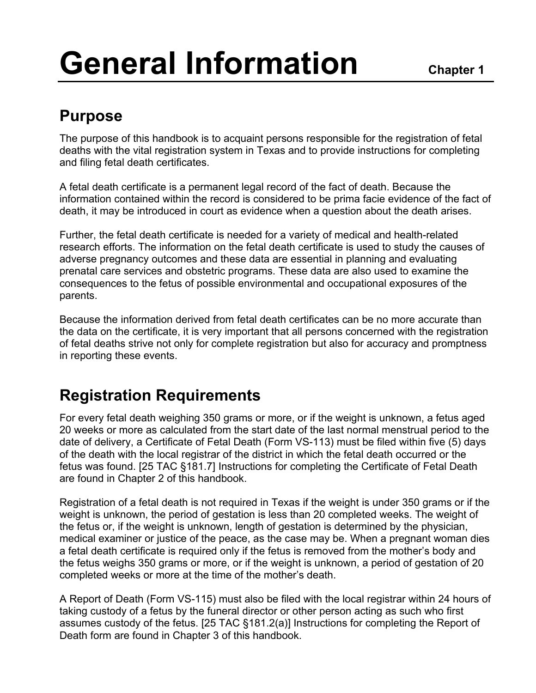# **General Information** Chapter 1

# **Purpose**

The purpose of this handbook is to acquaint persons responsible for the registration of fetal deaths with the vital registration system in Texas and to provide instructions for completing and filing fetal death certificates.

A fetal death certificate is a permanent legal record of the fact of death. Because the information contained within the record is considered to be prima facie evidence of the fact of death, it may be introduced in court as evidence when a question about the death arises.

Further, the fetal death certificate is needed for a variety of medical and health-related research efforts. The information on the fetal death certificate is used to study the causes of adverse pregnancy outcomes and these data are essential in planning and evaluating prenatal care services and obstetric programs. These data are also used to examine the consequences to the fetus of possible environmental and occupational exposures of the parents.

Because the information derived from fetal death certificates can be no more accurate than the data on the certificate, it is very important that all persons concerned with the registration of fetal deaths strive not only for complete registration but also for accuracy and promptness in reporting these events.

## **Registration Requirements**

For every fetal death weighing 350 grams or more, or if the weight is unknown, a fetus aged 20 weeks or more as calculated from the start date of the last normal menstrual period to the date of delivery, a Certificate of Fetal Death (Form VS-113) must be filed within five (5) days of the death with the local registrar of the district in which the fetal death occurred or the fetus was found. [25 TAC §181.7] Instructions for completing the Certificate of Fetal Death are found in Chapter 2 of this handbook.

Registration of a fetal death is not required in Texas if the weight is under 350 grams or if the weight is unknown, the period of gestation is less than 20 completed weeks. The weight of the fetus or, if the weight is unknown, length of gestation is determined by the physician, medical examiner or justice of the peace, as the case may be. When a pregnant woman dies a fetal death certificate is required only if the fetus is removed from the mother's body and the fetus weighs 350 grams or more, or if the weight is unknown, a period of gestation of 20 completed weeks or more at the time of the mother's death.

A Report of Death (Form VS-115) must also be filed with the local registrar within 24 hours of taking custody of a fetus by the funeral director or other person acting as such who first assumes custody of the fetus. [25 TAC §181.2(a)] Instructions for completing the Report of Death form are found in Chapter 3 of this handbook.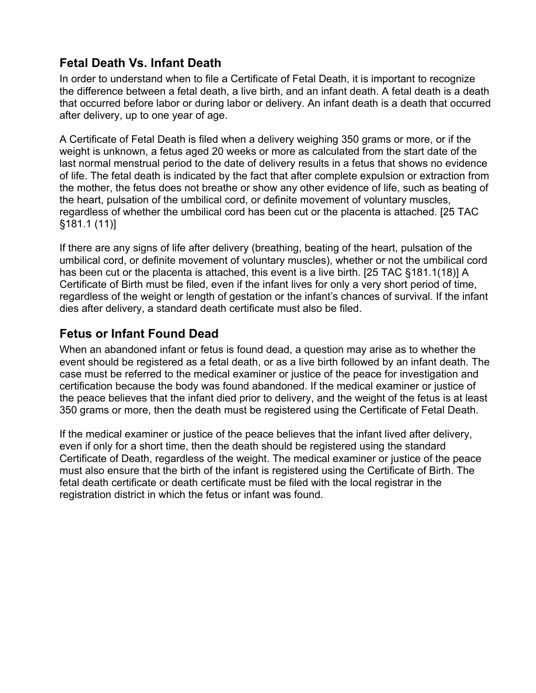#### **Fetal Death Vs. Infant Death**

In order to understand when to file a Certificate of Fetal Death, it is important to recognize the difference between a fetal death, a live birth, and an infant death. A fetal death is a death that occurred before labor or during labor or delivery. An infant death is a death that occurred after delivery, up to one year of age.

A Certificate of Fetal Death is filed when a delivery weighing 350 grams or more, or if the weight is unknown, a fetus aged 20 weeks or more as calculated from the start date of the last normal menstrual period to the date of delivery results in a fetus that shows no evidence of life. The fetal death is indicated by the fact that after complete expulsion or extraction from the mother, the fetus does not breathe or show any other evidence of life, such as beating of the heart, pulsation of the umbilical cord, or definite movement of voluntary muscles, regardless of whether the umbilical cord has been cut or the placenta is attached. [25 TAC §181.1 (11)]

If there are any signs of life after delivery (breathing, beating of the heart, pulsation of the umbilical cord, or definite movement of voluntary muscles), whether or not the umbilical cord has been cut or the placenta is attached, this event is a live birth. [25 TAC §181.1(18)] A Certificate of Birth must be filed, even if the infant lives for only a very short period of time, regardless of the weight or length of gestation or the infant's chances of survival. If the infant dies after delivery, a standard death certificate must also be filed.

#### **Fetus or Infant Found Dead**

When an abandoned infant or fetus is found dead, a question may arise as to whether the event should be registered as a fetal death, or as a live birth followed by an infant death. The case must be referred to the medical examiner or justice of the peace for investigation and certification because the body was found abandoned. If the medical examiner or justice of the peace believes that the infant died prior to delivery, and the weight of the fetus is at least 350 grams or more, then the death must be registered using the Certificate of Fetal Death.

If the medical examiner or justice of the peace believes that the infant lived after delivery, even if only for a short time, then the death should be registered using the standard Certificate of Death, regardless of the weight. The medical examiner or justice of the peace must also ensure that the birth of the infant is registered using the Certificate of Birth. The fetal death certificate or death certificate must be filed with the local registrar in the registration district in which the fetus or infant was found.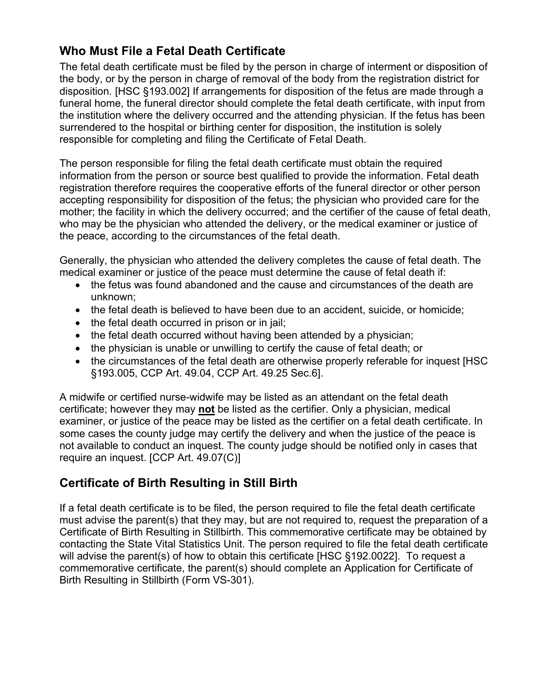#### **Who Must File a Fetal Death Certificate**

The fetal death certificate must be filed by the person in charge of interment or disposition of the body, or by the person in charge of removal of the body from the registration district for disposition. [HSC §193.002] If arrangements for disposition of the fetus are made through a funeral home, the funeral director should complete the fetal death certificate, with input from the institution where the delivery occurred and the attending physician. If the fetus has been surrendered to the hospital or birthing center for disposition, the institution is solely responsible for completing and filing the Certificate of Fetal Death.

The person responsible for filing the fetal death certificate must obtain the required information from the person or source best qualified to provide the information. Fetal death registration therefore requires the cooperative efforts of the funeral director or other person accepting responsibility for disposition of the fetus; the physician who provided care for the mother; the facility in which the delivery occurred; and the certifier of the cause of fetal death, who may be the physician who attended the delivery, or the medical examiner or justice of the peace, according to the circumstances of the fetal death.

Generally, the physician who attended the delivery completes the cause of fetal death. The medical examiner or justice of the peace must determine the cause of fetal death if:

- the fetus was found abandoned and the cause and circumstances of the death are unknown;
- the fetal death is believed to have been due to an accident, suicide, or homicide;
- the fetal death occurred in prison or in jail;
- the fetal death occurred without having been attended by a physician;
- the physician is unable or unwilling to certify the cause of fetal death; or
- the circumstances of the fetal death are otherwise properly referable for inquest [HSC §193.005, CCP Art. 49.04, CCP Art. 49.25 Sec.6].

A midwife or certified nurse-widwife may be listed as an attendant on the fetal death certificate; however they may **not** be listed as the certifier. Only a physician, medical examiner, or justice of the peace may be listed as the certifier on a fetal death certificate. In some cases the county judge may certify the delivery and when the justice of the peace is not available to conduct an inquest. The county judge should be notified only in cases that require an inquest. [CCP Art. 49.07(C)]

#### **Certificate of Birth Resulting in Still Birth**

If a fetal death certificate is to be filed, the person required to file the fetal death certificate must advise the parent(s) that they may, but are not required to, request the preparation of a Certificate of Birth Resulting in Stillbirth. This commemorative certificate may be obtained by contacting the State Vital Statistics Unit. The person required to file the fetal death certificate will advise the parent(s) of how to obtain this certificate [HSC §192.0022]. To request a commemorative certificate, the parent(s) should complete an Application for Certificate of Birth Resulting in Stillbirth (Form VS-301).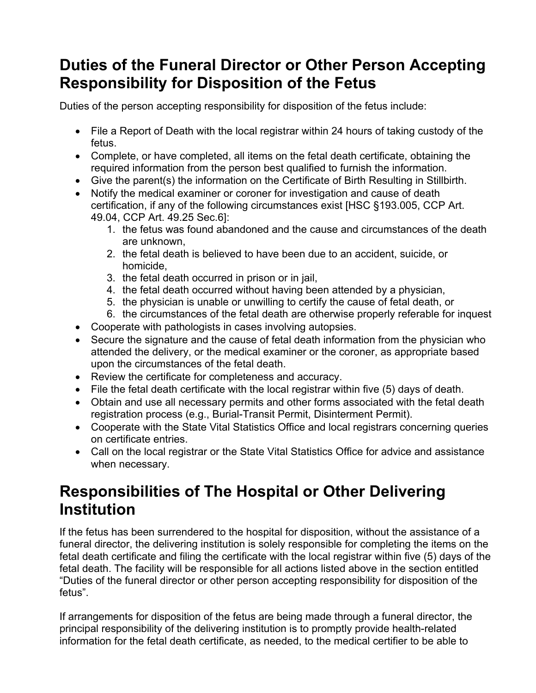## **Duties of the Funeral Director or Other Person Accepting Responsibility for Disposition of the Fetus**

Duties of the person accepting responsibility for disposition of the fetus include:

- File a Report of Death with the local registrar within 24 hours of taking custody of the fetus.
- Complete, or have completed, all items on the fetal death certificate, obtaining the required information from the person best qualified to furnish the information.
- Give the parent(s) the information on the Certificate of Birth Resulting in Stillbirth.
- Notify the medical examiner or coroner for investigation and cause of death certification, if any of the following circumstances exist [HSC §193.005, CCP Art. 49.04, CCP Art. 49.25 Sec.6]:
	- 1. the fetus was found abandoned and the cause and circumstances of the death are unknown,
	- 2. the fetal death is believed to have been due to an accident, suicide, or homicide,
	- 3. the fetal death occurred in prison or in jail,
	- 4. the fetal death occurred without having been attended by a physician,
	- 5. the physician is unable or unwilling to certify the cause of fetal death, or
	- 6. the circumstances of the fetal death are otherwise properly referable for inquest
- Cooperate with pathologists in cases involving autopsies.
- Secure the signature and the cause of fetal death information from the physician who attended the delivery, or the medical examiner or the coroner, as appropriate based upon the circumstances of the fetal death.
- Review the certificate for completeness and accuracy.
- File the fetal death certificate with the local registrar within five (5) days of death.
- Obtain and use all necessary permits and other forms associated with the fetal death registration process (e.g., Burial-Transit Permit, Disinterment Permit).
- Cooperate with the State Vital Statistics Office and local registrars concerning queries on certificate entries.
- Call on the local registrar or the State Vital Statistics Office for advice and assistance when necessary.

### **Responsibilities of The Hospital or Other Delivering Institution**

If the fetus has been surrendered to the hospital for disposition, without the assistance of a funeral director, the delivering institution is solely responsible for completing the items on the fetal death certificate and filing the certificate with the local registrar within five (5) days of the fetal death. The facility will be responsible for all actions listed above in the section entitled "Duties of the funeral director or other person accepting responsibility for disposition of the fetus".

If arrangements for disposition of the fetus are being made through a funeral director, the principal responsibility of the delivering institution is to promptly provide health-related information for the fetal death certificate, as needed, to the medical certifier to be able to